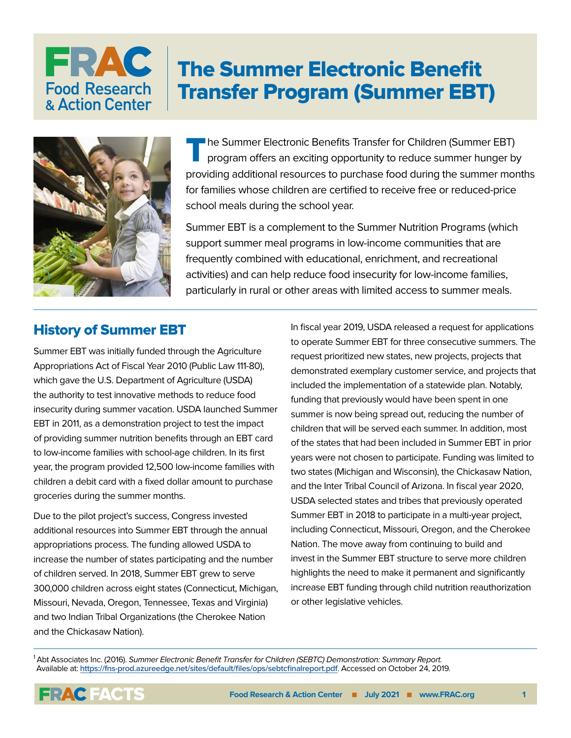## FRAC The Summer Electronic Benefit **Food Research** Transfer Program (Summer EBT) & Action Center



The Summer Electronic Benefits Transfer for Children (Summer EBT)<br>program offers an exciting opportunity to reduce summer hunger by providing additional resources to purchase food during the summer months for families whose children are certified to receive free or reduced-price school meals during the school year.

Summer EBT is a complement to the Summer Nutrition Programs (which support summer meal programs in low-income communities that are frequently combined with educational, enrichment, and recreational activities) and can help reduce food insecurity for low-income families, particularly in rural or other areas with limited access to summer meals.

## History of Summer EBT

Summer EBT was initially funded through the Agriculture Appropriations Act of Fiscal Year 2010 (Public Law 111-80), which gave the U.S. Department of Agriculture (USDA) the authority to test innovative methods to reduce food insecurity during summer vacation. USDA launched Summer EBT in 2011, as a demonstration project to test the impact of providing summer nutrition benefits through an EBT card to low-income families with school-age children. In its first year, the program provided 12,500 low-income families with children a debit card with a fixed dollar amount to purchase groceries during the summer months.

Due to the pilot project's success, Congress invested additional resources into Summer EBT through the annual appropriations process. The funding allowed USDA to increase the number of states participating and the number of children served. In 2018, Summer EBT grew to serve 300,000 children across eight states (Connecticut, Michigan, Missouri, Nevada, Oregon, Tennessee, Texas and Virginia) and two Indian Tribal Organizations (the Cherokee Nation and the Chickasaw Nation).

In fiscal year 2019, USDA released a request for applications to operate Summer EBT for three consecutive summers. The request prioritized new states, new projects, projects that demonstrated exemplary customer service, and projects that included the implementation of a statewide plan. Notably, funding that previously would have been spent in one summer is now being spread out, reducing the number of children that will be served each summer. In addition, most of the states that had been included in Summer EBT in prior years were not chosen to participate. Funding was limited to two states (Michigan and Wisconsin), the Chickasaw Nation, and the Inter Tribal Council of Arizona. In fiscal year 2020, USDA selected states and tribes that previously operated Summer EBT in 2018 to participate in a multi-year project, including Connecticut, Missouri, Oregon, and the Cherokee Nation. The move away from continuing to build and invest in the Summer EBT structure to serve more children highlights the need to make it permanent and significantly increase EBT funding through child nutrition reauthorization or other legislative vehicles.

1 Abt Associates Inc. (2016). Summer Electronic Benefit Transfer for Children (SEBTC) Demonstration: Summary Report. Available at: **<https://fns-prod.azureedge.net/sites/default/files/ops/sebtcfinalreport.pdf>**. Accessed on October 24, 2019.